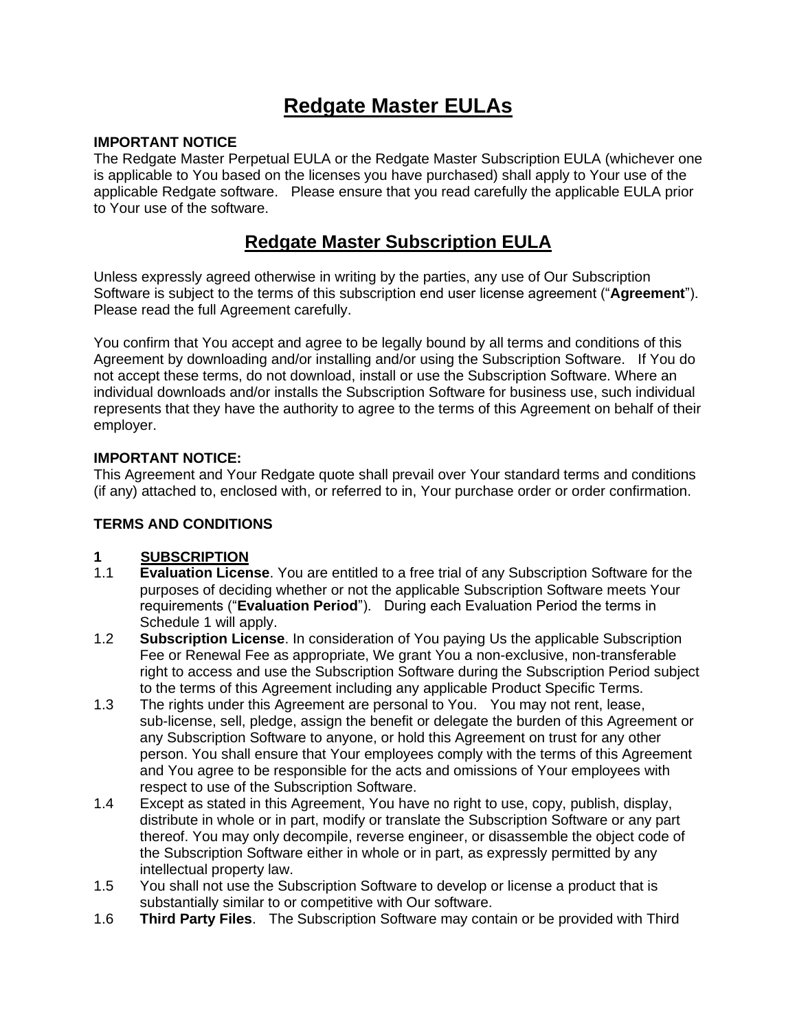# **Redgate Master EULAs**

#### **IMPORTANT NOTICE**

The Redgate Master Perpetual EULA or the Redgate Master Subscription EULA (whichever one is applicable to You based on the licenses you have purchased) shall apply to Your use of the applicable Redgate software. Please ensure that you read carefully the applicable EULA prior to Your use of the software.

# **Redgate Master Subscription EULA**

Unless expressly agreed otherwise in writing by the parties, any use of Our Subscription Software is subject to the terms of this subscription end user license agreement ("**Agreement**"). Please read the full Agreement carefully.

You confirm that You accept and agree to be legally bound by all terms and conditions of this Agreement by downloading and/or installing and/or using the Subscription Software. If You do not accept these terms, do not download, install or use the Subscription Software. Where an individual downloads and/or installs the Subscription Software for business use, such individual represents that they have the authority to agree to the terms of this Agreement on behalf of their employer.

#### **IMPORTANT NOTICE:**

This Agreement and Your Redgate quote shall prevail over Your standard terms and conditions (if any) attached to, enclosed with, or referred to in, Your purchase order or order confirmation.

#### **TERMS AND CONDITIONS**

## **1 SUBSCRIPTION**

- 1.1 **Evaluation License**. You are entitled to a free trial of any Subscription Software for the purposes of deciding whether or not the applicable Subscription Software meets Your requirements ("**Evaluation Period**"). During each Evaluation Period the terms in Schedule 1 will apply.
- 1.2 **Subscription License**. In consideration of You paying Us the applicable Subscription Fee or Renewal Fee as appropriate, We grant You a non-exclusive, non-transferable right to access and use the Subscription Software during the Subscription Period subject to the terms of this Agreement including any applicable Product Specific Terms.
- 1.3 The rights under this Agreement are personal to You. You may not rent, lease, sub-license, sell, pledge, assign the benefit or delegate the burden of this Agreement or any Subscription Software to anyone, or hold this Agreement on trust for any other person. You shall ensure that Your employees comply with the terms of this Agreement and You agree to be responsible for the acts and omissions of Your employees with respect to use of the Subscription Software.
- 1.4 Except as stated in this Agreement, You have no right to use, copy, publish, display, distribute in whole or in part, modify or translate the Subscription Software or any part thereof. You may only decompile, reverse engineer, or disassemble the object code of the Subscription Software either in whole or in part, as expressly permitted by any intellectual property law.
- 1.5 You shall not use the Subscription Software to develop or license a product that is substantially similar to or competitive with Our software.
- 1.6 **Third Party Files**. The Subscription Software may contain or be provided with Third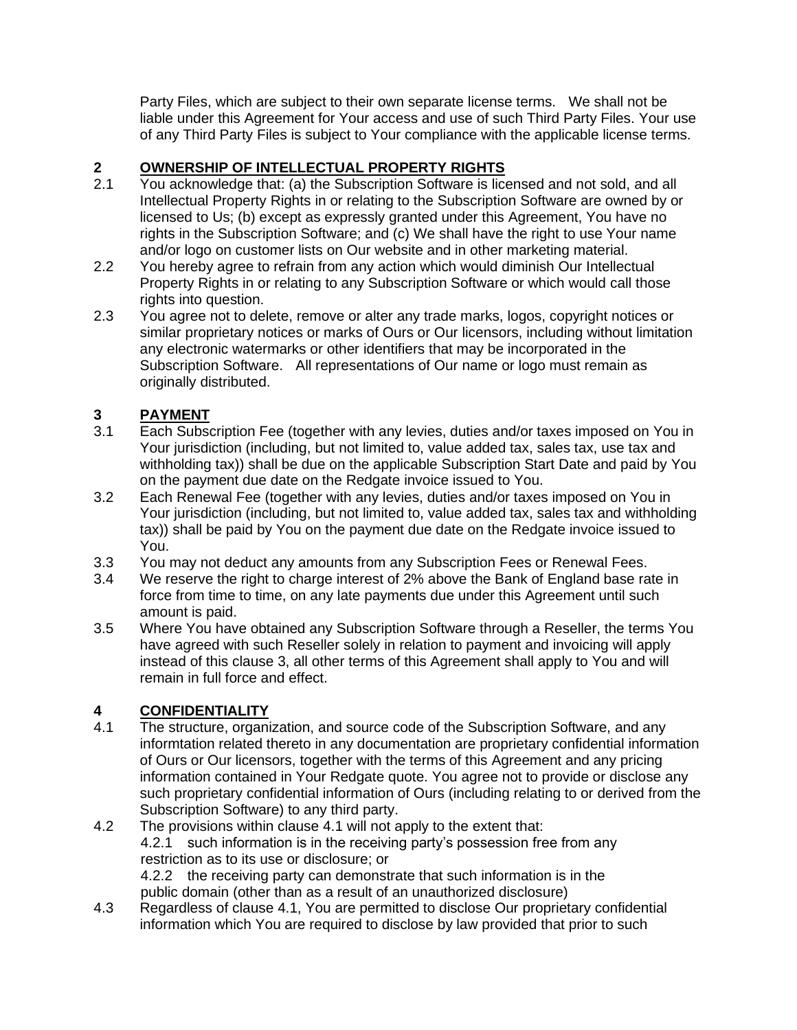Party Files, which are subject to their own separate license terms. We shall not be liable under this Agreement for Your access and use of such Third Party Files. Your use of any Third Party Files is subject to Your compliance with the applicable license terms.

# **2 OWNERSHIP OF INTELLECTUAL PROPERTY RIGHTS**<br>2.1 You acknowledge that: (a) the Subscription Software is lice

- You acknowledge that: (a) the Subscription Software is licensed and not sold, and all Intellectual Property Rights in or relating to the Subscription Software are owned by or licensed to Us; (b) except as expressly granted under this Agreement, You have no rights in the Subscription Software; and (c) We shall have the right to use Your name and/or logo on customer lists on Our website and in other marketing material.
- 2.2 You hereby agree to refrain from any action which would diminish Our Intellectual Property Rights in or relating to any Subscription Software or which would call those rights into question.
- 2.3 You agree not to delete, remove or alter any trade marks, logos, copyright notices or similar proprietary notices or marks of Ours or Our licensors, including without limitation any electronic watermarks or other identifiers that may be incorporated in the Subscription Software. All representations of Our name or logo must remain as originally distributed.

# **3 PAYMENT**

- Each Subscription Fee (together with any levies, duties and/or taxes imposed on You in Your jurisdiction (including, but not limited to, value added tax, sales tax, use tax and withholding tax)) shall be due on the applicable Subscription Start Date and paid by You on the payment due date on the Redgate invoice issued to You.
- 3.2 Each Renewal Fee (together with any levies, duties and/or taxes imposed on You in Your jurisdiction (including, but not limited to, value added tax, sales tax and withholding tax)) shall be paid by You on the payment due date on the Redgate invoice issued to You.
- 3.3 You may not deduct any amounts from any Subscription Fees or Renewal Fees.
- 3.4 We reserve the right to charge interest of 2% above the Bank of England base rate in force from time to time, on any late payments due under this Agreement until such amount is paid.
- 3.5 Where You have obtained any Subscription Software through a Reseller, the terms You have agreed with such Reseller solely in relation to payment and invoicing will apply instead of this clause 3, all other terms of this Agreement shall apply to You and will remain in full force and effect.

# **4 CONFIDENTIALITY**

- 4.1 The structure, organization, and source code of the Subscription Software, and any informtation related thereto in any documentation are proprietary confidential information of Ours or Our licensors, together with the terms of this Agreement and any pricing information contained in Your Redgate quote. You agree not to provide or disclose any such proprietary confidential information of Ours (including relating to or derived from the Subscription Software) to any third party.
- 4.2 The provisions within clause 4.1 will not apply to the extent that: 4.2.1 such information is in the receiving party's possession free from any restriction as to its use or disclosure; or 4.2.2 the receiving party can demonstrate that such information is in the public domain (other than as a result of an unauthorized disclosure)
- 4.3 Regardless of clause 4.1, You are permitted to disclose Our proprietary confidential information which You are required to disclose by law provided that prior to such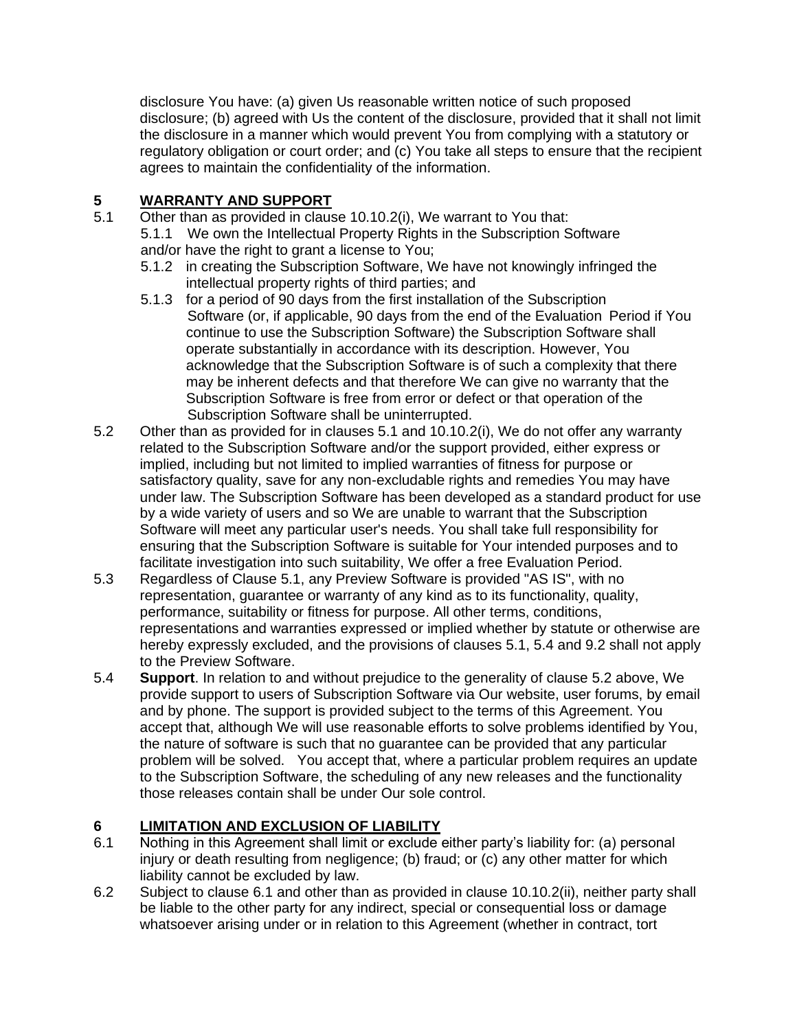disclosure You have: (a) given Us reasonable written notice of such proposed disclosure; (b) agreed with Us the content of the disclosure, provided that it shall not limit the disclosure in a manner which would prevent You from complying with a statutory or regulatory obligation or court order; and (c) You take all steps to ensure that the recipient agrees to maintain the confidentiality of the information.

# **5 WARRANTY AND SUPPORT**

- 5.1 Other than as provided in clause 10.10.2(i), We warrant to You that:
	- 5.1.1 We own the Intellectual Property Rights in the Subscription Software and/or have the right to grant a license to You;
	- 5.1.2 in creating the Subscription Software, We have not knowingly infringed the intellectual property rights of third parties; and
	- 5.1.3 for a period of 90 days from the first installation of the Subscription Software (or, if applicable, 90 days from the end of the Evaluation Period if You continue to use the Subscription Software) the Subscription Software shall operate substantially in accordance with its description. However, You acknowledge that the Subscription Software is of such a complexity that there may be inherent defects and that therefore We can give no warranty that the Subscription Software is free from error or defect or that operation of the Subscription Software shall be uninterrupted.
- 5.2 Other than as provided for in clauses 5.1 and 10.10.2(i), We do not offer any warranty related to the Subscription Software and/or the support provided, either express or implied, including but not limited to implied warranties of fitness for purpose or satisfactory quality, save for any non-excludable rights and remedies You may have under law. The Subscription Software has been developed as a standard product for use by a wide variety of users and so We are unable to warrant that the Subscription Software will meet any particular user's needs. You shall take full responsibility for ensuring that the Subscription Software is suitable for Your intended purposes and to facilitate investigation into such suitability, We offer a free Evaluation Period.
- 5.3 Regardless of Clause 5.1, any Preview Software is provided "AS IS", with no representation, guarantee or warranty of any kind as to its functionality, quality, performance, suitability or fitness for purpose. All other terms, conditions, representations and warranties expressed or implied whether by statute or otherwise are hereby expressly excluded, and the provisions of clauses 5.1, 5.4 and 9.2 shall not apply to the Preview Software.
- 5.4 **Support**. In relation to and without prejudice to the generality of clause 5.2 above, We provide support to users of Subscription Software via Our website, user forums, by email and by phone. The support is provided subject to the terms of this Agreement. You accept that, although We will use reasonable efforts to solve problems identified by You, the nature of software is such that no guarantee can be provided that any particular problem will be solved. You accept that, where a particular problem requires an update to the Subscription Software, the scheduling of any new releases and the functionality those releases contain shall be under Our sole control.

# **6 LIMITATION AND EXCLUSION OF LIABILITY**

- 6.1 Nothing in this Agreement shall limit or exclude either party's liability for: (a) personal injury or death resulting from negligence; (b) fraud; or (c) any other matter for which liability cannot be excluded by law.
- 6.2 Subject to clause 6.1 and other than as provided in clause 10.10.2(ii), neither party shall be liable to the other party for any indirect, special or consequential loss or damage whatsoever arising under or in relation to this Agreement (whether in contract, tort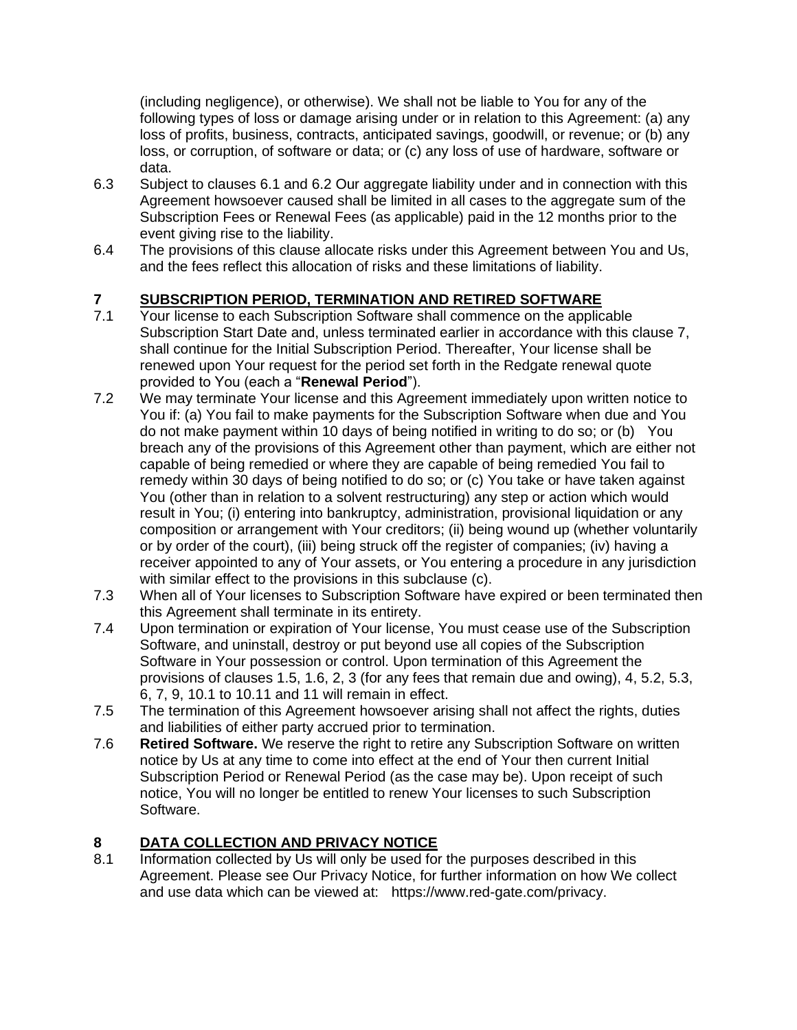(including negligence), or otherwise). We shall not be liable to You for any of the following types of loss or damage arising under or in relation to this Agreement: (a) any loss of profits, business, contracts, anticipated savings, goodwill, or revenue; or (b) any loss, or corruption, of software or data; or (c) any loss of use of hardware, software or data.

- 6.3 Subject to clauses 6.1 and 6.2 Our aggregate liability under and in connection with this Agreement howsoever caused shall be limited in all cases to the aggregate sum of the Subscription Fees or Renewal Fees (as applicable) paid in the 12 months prior to the event giving rise to the liability.
- 6.4 The provisions of this clause allocate risks under this Agreement between You and Us, and the fees reflect this allocation of risks and these limitations of liability.

# **7 SUBSCRIPTION PERIOD, TERMINATION AND RETIRED SOFTWARE**<br>7.1 Your license to each Subscription Software shall commence on the applic

- Your license to each Subscription Software shall commence on the applicable Subscription Start Date and, unless terminated earlier in accordance with this clause 7, shall continue for the Initial Subscription Period. Thereafter, Your license shall be renewed upon Your request for the period set forth in the Redgate renewal quote provided to You (each a "**Renewal Period**").
- 7.2 We may terminate Your license and this Agreement immediately upon written notice to You if: (a) You fail to make payments for the Subscription Software when due and You do not make payment within 10 days of being notified in writing to do so; or (b) You breach any of the provisions of this Agreement other than payment, which are either not capable of being remedied or where they are capable of being remedied You fail to remedy within 30 days of being notified to do so; or (c) You take or have taken against You (other than in relation to a solvent restructuring) any step or action which would result in You; (i) entering into bankruptcy, administration, provisional liquidation or any composition or arrangement with Your creditors; (ii) being wound up (whether voluntarily or by order of the court), (iii) being struck off the register of companies; (iv) having a receiver appointed to any of Your assets, or You entering a procedure in any jurisdiction with similar effect to the provisions in this subclause (c).
- 7.3 When all of Your licenses to Subscription Software have expired or been terminated then this Agreement shall terminate in its entirety.
- 7.4 Upon termination or expiration of Your license, You must cease use of the Subscription Software, and uninstall, destroy or put beyond use all copies of the Subscription Software in Your possession or control. Upon termination of this Agreement the provisions of clauses 1.5, 1.6, 2, 3 (for any fees that remain due and owing), 4, 5.2, 5.3, 6, 7, 9, 10.1 to 10.11 and 11 will remain in effect.
- 7.5 The termination of this Agreement howsoever arising shall not affect the rights, duties and liabilities of either party accrued prior to termination.
- 7.6 **Retired Software.** We reserve the right to retire any Subscription Software on written notice by Us at any time to come into effect at the end of Your then current Initial Subscription Period or Renewal Period (as the case may be). Upon receipt of such notice, You will no longer be entitled to renew Your licenses to such Subscription Software.

## **8 DATA COLLECTION AND PRIVACY NOTICE**

8.1 Information collected by Us will only be used for the purposes described in this Agreement. Please see Our Privacy Notice, for further information on how We collect and use data which can be viewed at: [https://www.red-gate.com/privacy.](https://www.red-gate.com/privacy)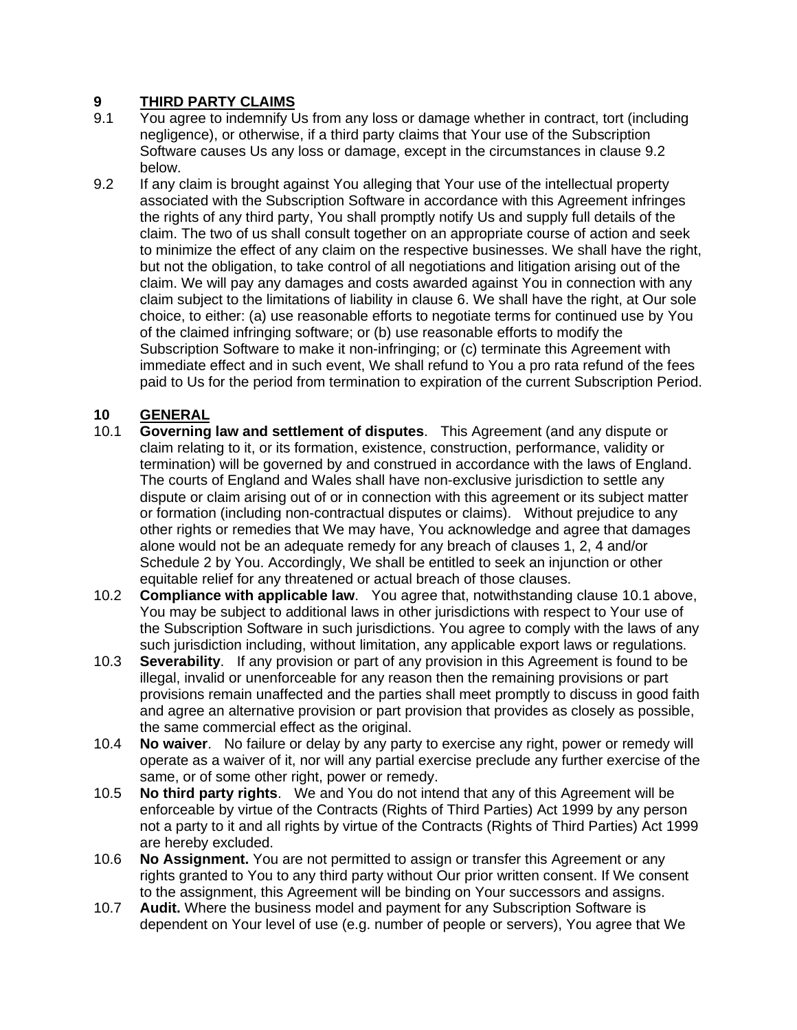# **9 THIRD PARTY CLAIMS**

- 9.1 You agree to indemnify Us from any loss or damage whether in contract, tort (including negligence), or otherwise, if a third party claims that Your use of the Subscription Software causes Us any loss or damage, except in the circumstances in clause 9.2 below.
- 9.2 If any claim is brought against You alleging that Your use of the intellectual property associated with the Subscription Software in accordance with this Agreement infringes the rights of any third party, You shall promptly notify Us and supply full details of the claim. The two of us shall consult together on an appropriate course of action and seek to minimize the effect of any claim on the respective businesses. We shall have the right, but not the obligation, to take control of all negotiations and litigation arising out of the claim. We will pay any damages and costs awarded against You in connection with any claim subject to the limitations of liability in clause 6. We shall have the right, at Our sole choice, to either: (a) use reasonable efforts to negotiate terms for continued use by You of the claimed infringing software; or (b) use reasonable efforts to modify the Subscription Software to make it non-infringing; or (c) terminate this Agreement with immediate effect and in such event, We shall refund to You a pro rata refund of the fees paid to Us for the period from termination to expiration of the current Subscription Period.

# **10 GENERAL**

- 10.1 **Governing law and settlement of disputes**. This Agreement (and any dispute or claim relating to it, or its formation, existence, construction, performance, validity or termination) will be governed by and construed in accordance with the laws of England. The courts of England and Wales shall have non-exclusive jurisdiction to settle any dispute or claim arising out of or in connection with this agreement or its subject matter or formation (including non-contractual disputes or claims). Without prejudice to any other rights or remedies that We may have, You acknowledge and agree that damages alone would not be an adequate remedy for any breach of clauses 1, 2, 4 and/or Schedule 2 by You. Accordingly, We shall be entitled to seek an injunction or other equitable relief for any threatened or actual breach of those clauses.
- 10.2 **Compliance with applicable law**. You agree that, notwithstanding clause 10.1 above, You may be subject to additional laws in other jurisdictions with respect to Your use of the Subscription Software in such jurisdictions. You agree to comply with the laws of any such jurisdiction including, without limitation, any applicable export laws or regulations.
- 10.3 **Severability**. If any provision or part of any provision in this Agreement is found to be illegal, invalid or unenforceable for any reason then the remaining provisions or part provisions remain unaffected and the parties shall meet promptly to discuss in good faith and agree an alternative provision or part provision that provides as closely as possible, the same commercial effect as the original.
- 10.4 **No waiver**. No failure or delay by any party to exercise any right, power or remedy will operate as a waiver of it, nor will any partial exercise preclude any further exercise of the same, or of some other right, power or remedy.
- 10.5 **No third party rights**. We and You do not intend that any of this Agreement will be enforceable by virtue of the Contracts (Rights of Third Parties) Act 1999 by any person not a party to it and all rights by virtue of the Contracts (Rights of Third Parties) Act 1999 are hereby excluded.
- 10.6 **No Assignment.** You are not permitted to assign or transfer this Agreement or any rights granted to You to any third party without Our prior written consent. If We consent to the assignment, this Agreement will be binding on Your successors and assigns.
- 10.7 **Audit.** Where the business model and payment for any Subscription Software is dependent on Your level of use (e.g. number of people or servers), You agree that We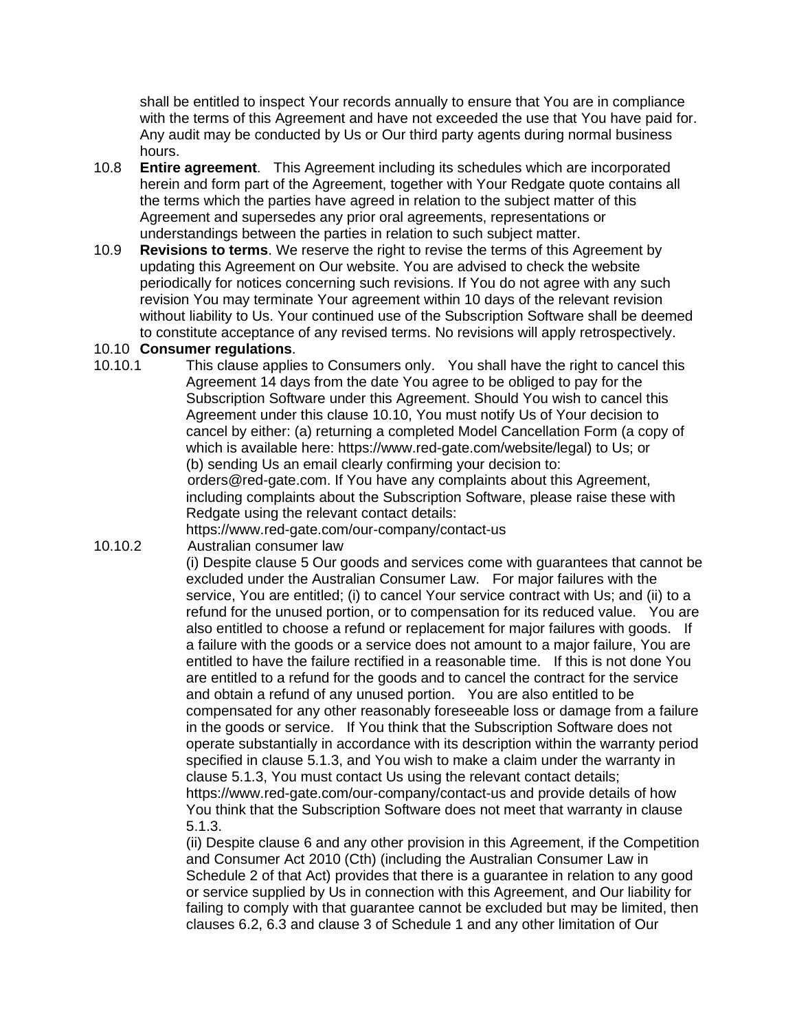shall be entitled to inspect Your records annually to ensure that You are in compliance with the terms of this Agreement and have not exceeded the use that You have paid for. Any audit may be conducted by Us or Our third party agents during normal business hours.

- 10.8 **Entire agreement**. This Agreement including its schedules which are incorporated herein and form part of the Agreement, together with Your Redgate quote contains all the terms which the parties have agreed in relation to the subject matter of this Agreement and supersedes any prior oral agreements, representations or understandings between the parties in relation to such subject matter.
- 10.9 **Revisions to terms**. We reserve the right to revise the terms of this Agreement by updating this Agreement on Our website. You are advised to check the website periodically for notices concerning such revisions. If You do not agree with any such revision You may terminate Your agreement within 10 days of the relevant revision without liability to Us. Your continued use of the Subscription Software shall be deemed to constitute acceptance of any revised terms. No revisions will apply retrospectively.

#### 10.10 **Consumer regulations**.

10.10.1 This clause applies to Consumers only. You shall have the right to cancel this Agreement 14 days from the date You agree to be obliged to pay for the Subscription Software under this Agreement. Should You wish to cancel this Agreement under this clause 10.10, You must notify Us of Your decision to cancel by either: (a) returning a completed Model Cancellation Form (a copy of which is available here: [https://www.red-gate.com/website/legal\)](https://www.red-gate.com/website/legal) to Us; or (b) sending Us an email clearly confirming your decision to: orders@red-gate.com. If You have any complaints about this Agreement, including complaints about the Subscription Software, please raise these with Redgate using the relevant contact details:

<https://www.red-gate.com/our-company/contact-us>

10.10.2 Australian consumer law

(i) Despite clause 5 Our goods and services come with guarantees that cannot be excluded under the Australian Consumer Law. For major failures with the service, You are entitled; (i) to cancel Your service contract with Us; and (ii) to a refund for the unused portion, or to compensation for its reduced value. You are also entitled to choose a refund or replacement for major failures with goods. If a failure with the goods or a service does not amount to a major failure, You are entitled to have the failure rectified in a reasonable time. If this is not done You are entitled to a refund for the goods and to cancel the contract for the service and obtain a refund of any unused portion. You are also entitled to be compensated for any other reasonably foreseeable loss or damage from a failure in the goods or service. If You think that the Subscription Software does not operate substantially in accordance with its description within the warranty period specified in clause 5.1.3, and You wish to make a claim under the warranty in clause 5.1.3, You must contact Us using the relevant contact details; <https://www.red-gate.com/our-company/contact-us> and provide details of how You think that the Subscription Software does not meet that warranty in clause 5.1.3.

(ii) Despite clause 6 and any other provision in this Agreement, if the Competition and Consumer Act 2010 (Cth) (including the Australian Consumer Law in Schedule 2 of that Act) provides that there is a guarantee in relation to any good or service supplied by Us in connection with this Agreement, and Our liability for failing to comply with that guarantee cannot be excluded but may be limited, then clauses 6.2, 6.3 and clause 3 of Schedule 1 and any other limitation of Our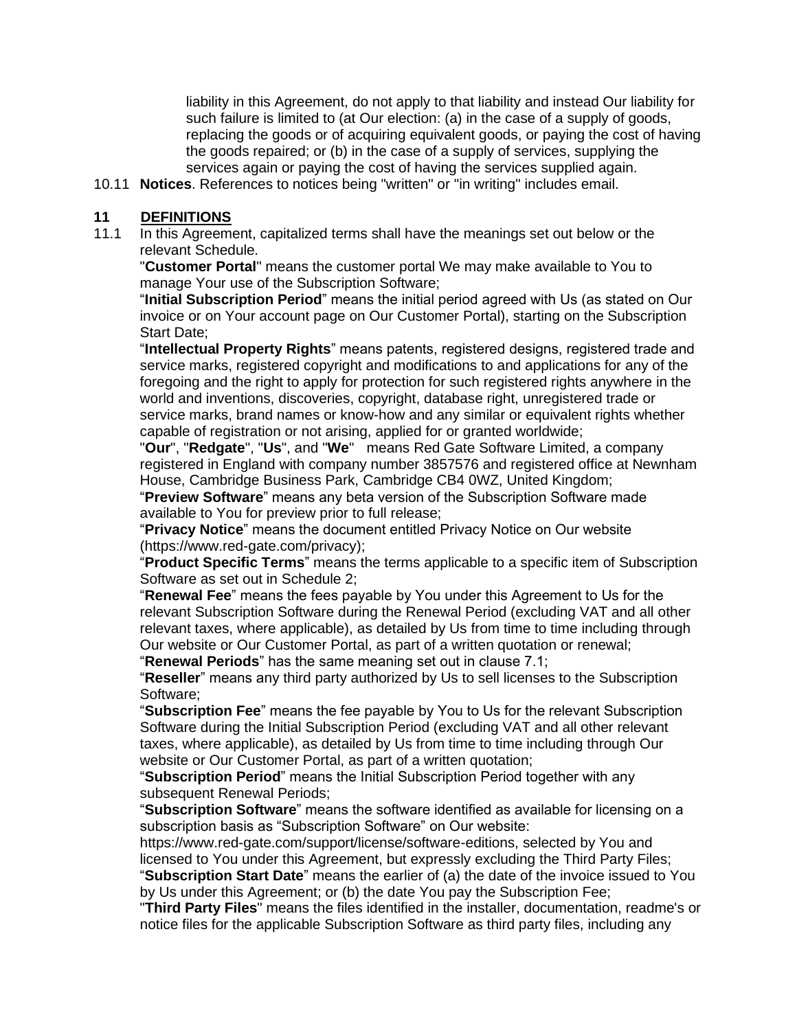liability in this Agreement, do not apply to that liability and instead Our liability for such failure is limited to (at Our election: (a) in the case of a supply of goods, replacing the goods or of acquiring equivalent goods, or paying the cost of having the goods repaired; or (b) in the case of a supply of services, supplying the services again or paying the cost of having the services supplied again.

10.11 **Notices**. References to notices being "written" or "in writing" includes email.

#### **11 DEFINITIONS**

11.1 In this Agreement, capitalized terms shall have the meanings set out below or the relevant Schedule.

"**Customer Portal**" means the customer portal We may make available to You to manage Your use of the Subscription Software;

"**Initial Subscription Period**" means the initial period agreed with Us (as stated on Our invoice or on Your account page on Our Customer Portal), starting on the Subscription Start Date;

"**Intellectual Property Rights**" means patents, registered designs, registered trade and service marks, registered copyright and modifications to and applications for any of the foregoing and the right to apply for protection for such registered rights anywhere in the world and inventions, discoveries, copyright, database right, unregistered trade or service marks, brand names or know-how and any similar or equivalent rights whether capable of registration or not arising, applied for or granted worldwide;

"**Our**", "**Redgate**", "**Us**", and "**We**" means Red Gate Software Limited, a company registered in England with company number 3857576 and registered office at Newnham House, Cambridge Business Park, Cambridge CB4 0WZ, United Kingdom;

"**Preview Software**" means any beta version of the Subscription Software made available to You for preview prior to full release;

"**Privacy Notice**" means the document entitled Privacy Notice on Our website [\(https://www.red-gate.com/privacy\)](https://www.red-gate.com/privacy);

"**Product Specific Terms**" means the terms applicable to a specific item of Subscription Software as set out in Schedule 2;

"**Renewal Fee**" means the fees payable by You under this Agreement to Us for the relevant Subscription Software during the Renewal Period (excluding VAT and all other relevant taxes, where applicable), as detailed by Us from time to time including through Our website or Our Customer Portal, as part of a written quotation or renewal;

"**Renewal Periods**" has the same meaning set out in clause 7.1;

"**Reseller**" means any third party authorized by Us to sell licenses to the Subscription Software;

"**Subscription Fee**" means the fee payable by You to Us for the relevant Subscription Software during the Initial Subscription Period (excluding VAT and all other relevant taxes, where applicable), as detailed by Us from time to time including through Our website or Our Customer Portal, as part of a written quotation;

"**Subscription Period**" means the Initial Subscription Period together with any subsequent Renewal Periods;

"**Subscription Software**" means the software identified as available for licensing on a subscription basis as "Subscription Software" on Our website:

[https://www.red-gate.com/support/license/software-editions,](https://www.red-gate.com/support/license/software-editions) selected by You and licensed to You under this Agreement, but expressly excluding the Third Party Files; "**Subscription Start Date**" means the earlier of (a) the date of the invoice issued to You by Us under this Agreement; or (b) the date You pay the Subscription Fee;

"**Third Party Files**" means the files identified in the installer, documentation, readme's or notice files for the applicable Subscription Software as third party files, including any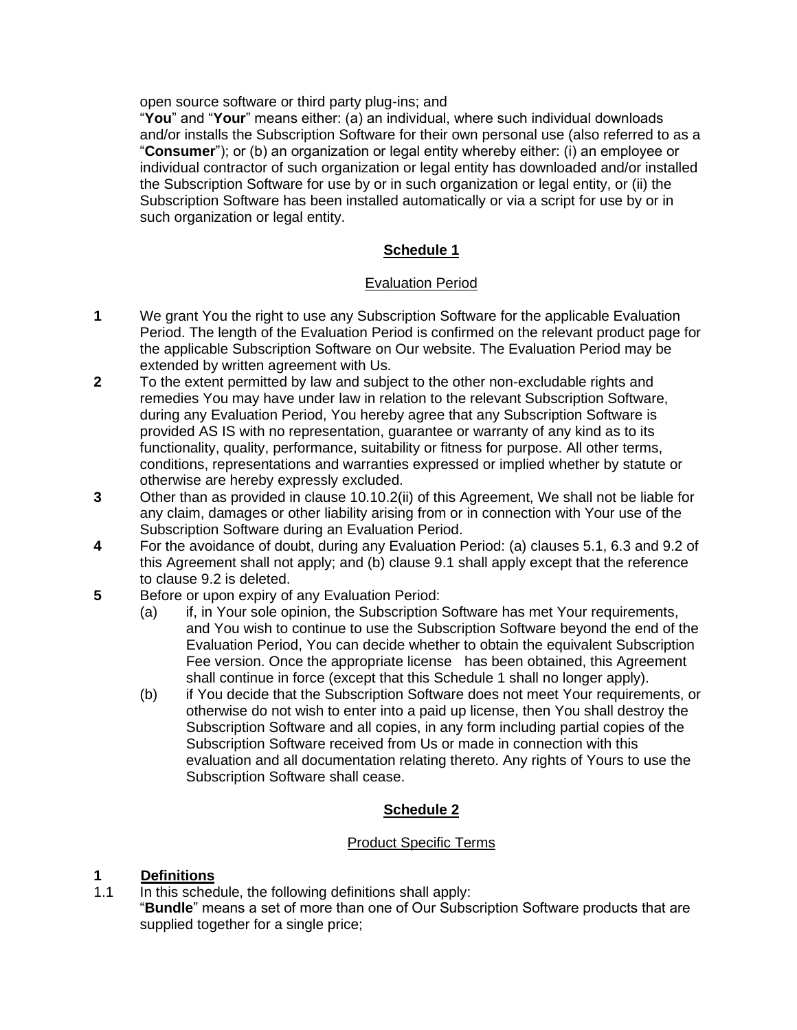open source software or third party plug-ins; and

"**You**" and "**Your**" means either: (a) an individual, where such individual downloads and/or installs the Subscription Software for their own personal use (also referred to as a "**Consumer**"); or (b) an organization or legal entity whereby either: (i) an employee or individual contractor of such organization or legal entity has downloaded and/or installed the Subscription Software for use by or in such organization or legal entity, or (ii) the Subscription Software has been installed automatically or via a script for use by or in such organization or legal entity.

#### **Schedule 1**

#### Evaluation Period

- **1** We grant You the right to use any Subscription Software for the applicable Evaluation Period. The length of the Evaluation Period is confirmed on the relevant product page for the applicable Subscription Software on Our website. The Evaluation Period may be extended by written agreement with Us.
- **2** To the extent permitted by law and subject to the other non-excludable rights and remedies You may have under law in relation to the relevant Subscription Software, during any Evaluation Period, You hereby agree that any Subscription Software is provided AS IS with no representation, guarantee or warranty of any kind as to its functionality, quality, performance, suitability or fitness for purpose. All other terms, conditions, representations and warranties expressed or implied whether by statute or otherwise are hereby expressly excluded.
- **3** Other than as provided in clause 10.10.2(ii) of this Agreement, We shall not be liable for any claim, damages or other liability arising from or in connection with Your use of the Subscription Software during an Evaluation Period.
- **4** For the avoidance of doubt, during any Evaluation Period: (a) clauses 5.1, 6.3 and 9.2 of this Agreement shall not apply; and (b) clause 9.1 shall apply except that the reference to clause 9.2 is deleted.
- **5** Before or upon expiry of any Evaluation Period:
	- (a) if, in Your sole opinion, the Subscription Software has met Your requirements, and You wish to continue to use the Subscription Software beyond the end of the Evaluation Period, You can decide whether to obtain the equivalent Subscription Fee version. Once the appropriate license has been obtained, this Agreement shall continue in force (except that this Schedule 1 shall no longer apply).
	- (b) if You decide that the Subscription Software does not meet Your requirements, or otherwise do not wish to enter into a paid up license, then You shall destroy the Subscription Software and all copies, in any form including partial copies of the Subscription Software received from Us or made in connection with this evaluation and all documentation relating thereto. Any rights of Yours to use the Subscription Software shall cease.

## **Schedule 2**

#### Product Specific Terms

## **1 Definitions**

1.1 In this schedule, the following definitions shall apply:

"**Bundle**" means a set of more than one of Our Subscription Software products that are supplied together for a single price;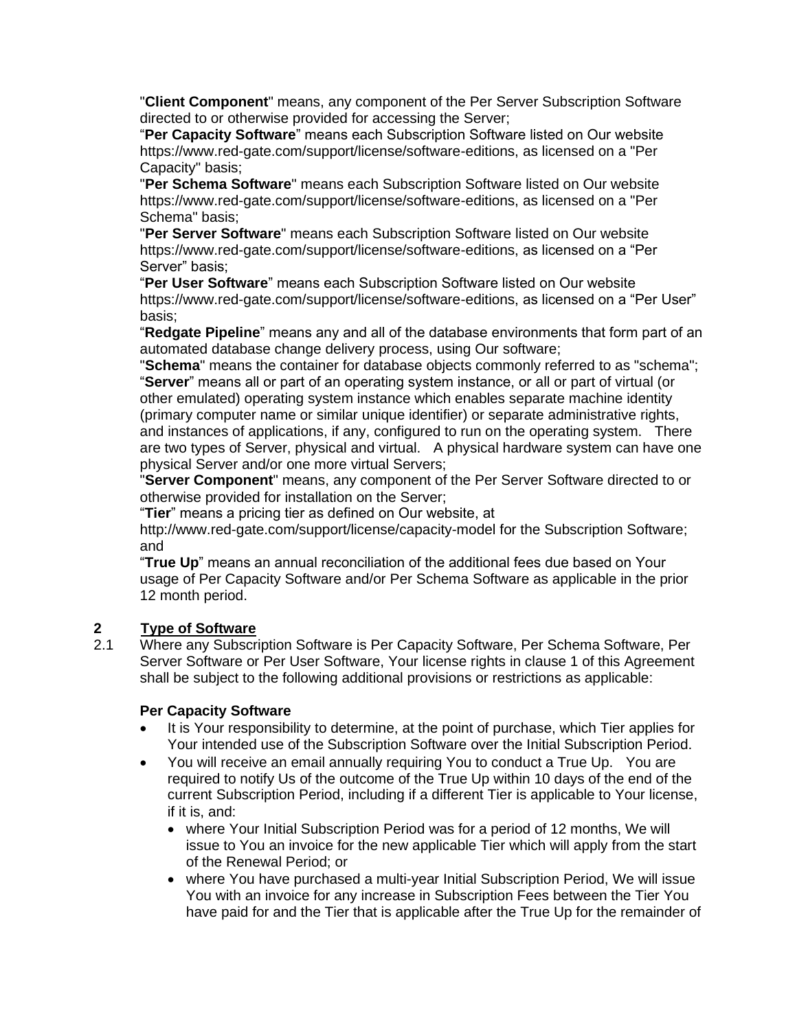"**Client Component**" means, any component of the Per Server Subscription Software directed to or otherwise provided for accessing the Server;

"**Per Capacity Software**" means each Subscription Software listed on Our website [https://www.red-gate.com/support/license/software-editions,](https://www.red-gate.com/support/license/software-editions) as licensed on a "Per Capacity" basis;

"**Per Schema Software**" means each Subscription Software listed on Our website [https://www.red-gate.com/support/license/software-editions,](https://www.red-gate.com/support/license/software-editions) as licensed on a "Per Schema" basis;

"**Per Server Software**" means each Subscription Software listed on Our website [https://www.red-gate.com/support/license/software-editions,](https://www.red-gate.com/support/license/software-editions) as licensed on a "Per Server" basis;

"**Per User Software**" means each Subscription Software listed on Our website [https://www.red-gate.com/support/license/software-editions,](https://www.red-gate.com/support/license/software-editions) as licensed on a "Per User" basis;

"**Redgate Pipeline**" means any and all of the database environments that form part of an automated database change delivery process, using Our software;

"**Schema**" means the container for database objects commonly referred to as "schema"; "**Server**" means all or part of an operating system instance, or all or part of virtual (or other emulated) operating system instance which enables separate machine identity (primary computer name or similar unique identifier) or separate administrative rights, and instances of applications, if any, configured to run on the operating system. There are two types of Server, physical and virtual. A physical hardware system can have one physical Server and/or one more virtual Servers;

"**Server Component**" means, any component of the Per Server Software directed to or otherwise provided for installation on the Server;

"**Tier**" means a pricing tier as defined on Our website, at

<http://www.red-gate.com/support/license/capacity-model> for the Subscription Software; and

"**True Up**" means an annual reconciliation of the additional fees due based on Your usage of Per Capacity Software and/or Per Schema Software as applicable in the prior 12 month period.

# **2 Type of Software**

2.1 Where any Subscription Software is Per Capacity Software, Per Schema Software, Per Server Software or Per User Software, Your license rights in clause 1 of this Agreement shall be subject to the following additional provisions or restrictions as applicable:

#### **Per Capacity Software**

- It is Your responsibility to determine, at the point of purchase, which Tier applies for Your intended use of the Subscription Software over the Initial Subscription Period.
- You will receive an email annually requiring You to conduct a True Up. You are required to notify Us of the outcome of the True Up within 10 days of the end of the current Subscription Period, including if a different Tier is applicable to Your license, if it is, and:
	- where Your Initial Subscription Period was for a period of 12 months, We will issue to You an invoice for the new applicable Tier which will apply from the start of the Renewal Period; or
	- where You have purchased a multi-year Initial Subscription Period, We will issue You with an invoice for any increase in Subscription Fees between the Tier You have paid for and the Tier that is applicable after the True Up for the remainder of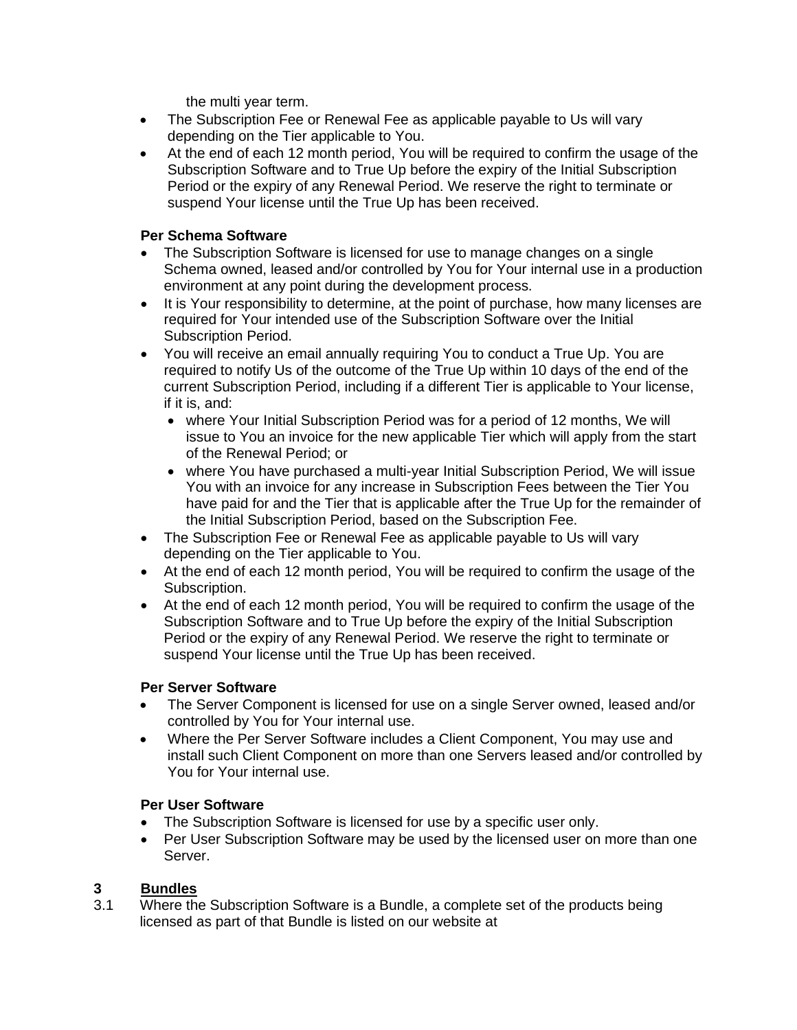the multi year term.

- The Subscription Fee or Renewal Fee as applicable payable to Us will vary depending on the Tier applicable to You.
- At the end of each 12 month period, You will be required to confirm the usage of the Subscription Software and to True Up before the expiry of the Initial Subscription Period or the expiry of any Renewal Period. We reserve the right to terminate or suspend Your license until the True Up has been received.

#### **Per Schema Software**

- The Subscription Software is licensed for use to manage changes on a single Schema owned, leased and/or controlled by You for Your internal use in a production environment at any point during the development process.
- It is Your responsibility to determine, at the point of purchase, how many licenses are required for Your intended use of the Subscription Software over the Initial Subscription Period.
- You will receive an email annually requiring You to conduct a True Up. You are required to notify Us of the outcome of the True Up within 10 days of the end of the current Subscription Period, including if a different Tier is applicable to Your license, if it is, and:
	- where Your Initial Subscription Period was for a period of 12 months, We will issue to You an invoice for the new applicable Tier which will apply from the start of the Renewal Period; or
	- where You have purchased a multi-year Initial Subscription Period, We will issue You with an invoice for any increase in Subscription Fees between the Tier You have paid for and the Tier that is applicable after the True Up for the remainder of the Initial Subscription Period, based on the Subscription Fee.
- The Subscription Fee or Renewal Fee as applicable payable to Us will vary depending on the Tier applicable to You.
- At the end of each 12 month period, You will be required to confirm the usage of the Subscription.
- At the end of each 12 month period, You will be required to confirm the usage of the Subscription Software and to True Up before the expiry of the Initial Subscription Period or the expiry of any Renewal Period. We reserve the right to terminate or suspend Your license until the True Up has been received.

#### **Per Server Software**

- The Server Component is licensed for use on a single Server owned, leased and/or controlled by You for Your internal use.
- Where the Per Server Software includes a Client Component, You may use and install such Client Component on more than one Servers leased and/or controlled by You for Your internal use.

#### **Per User Software**

- The Subscription Software is licensed for use by a specific user only.
- Per User Subscription Software may be used by the licensed user on more than one Server.

## **3 Bundles**

3.1 Where the Subscription Software is a Bundle, a complete set of the products being licensed as part of that Bundle is listed on our website at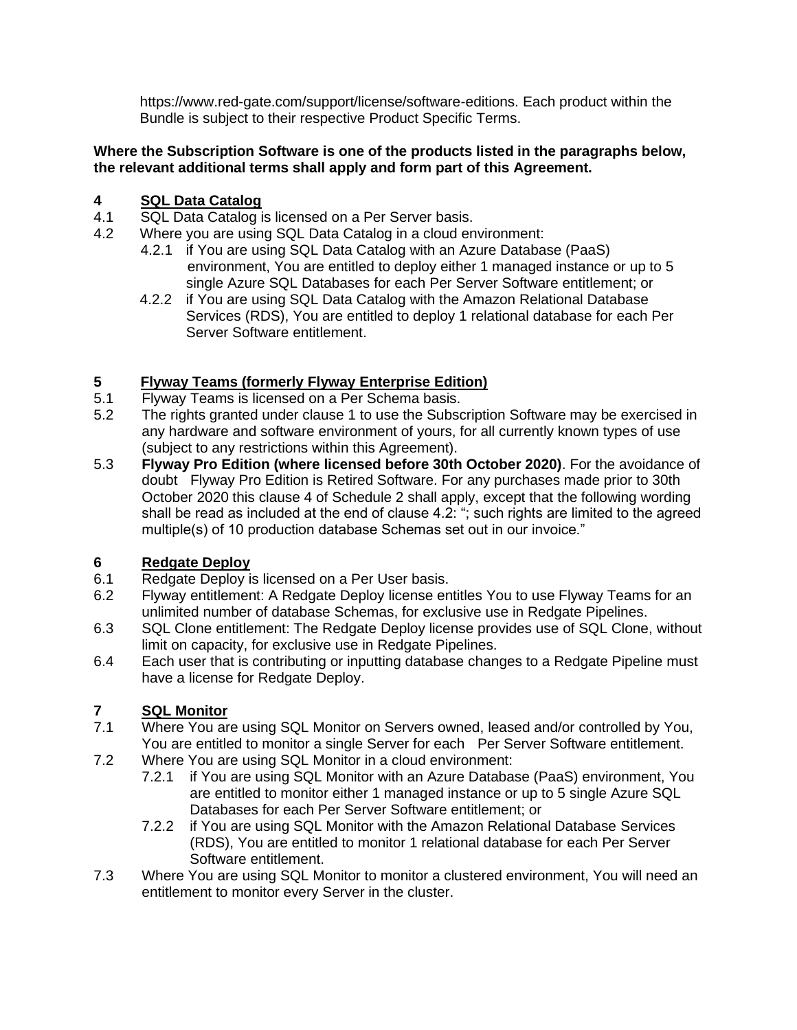[https://www.red-gate.com/support/license/software-editions.](https://www.red-gate.com/support/license/software-editions) Each product within the Bundle is subject to their respective Product Specific Terms.

#### **Where the Subscription Software is one of the products listed in the paragraphs below, the relevant additional terms shall apply and form part of this Agreement.**

# **4 SQL Data Catalog**

- 4.1 SQL Data Catalog is licensed on a Per Server basis.
- 4.2 Where you are using SQL Data Catalog in a cloud environment:
	- 4.2.1 if You are using SQL Data Catalog with an Azure Database (PaaS) environment, You are entitled to deploy either 1 managed instance or up to 5 single Azure SQL Databases for each Per Server Software entitlement; or
	- 4.2.2 if You are using SQL Data Catalog with the Amazon Relational Database Services (RDS), You are entitled to deploy 1 relational database for each Per Server Software entitlement.

# **5 Flyway Teams (formerly Flyway Enterprise Edition)**<br>5.1 Flyway Teams is licensed on a Per Schema basis.

- Flyway Teams is licensed on a Per Schema basis.
- 5.2 The rights granted under clause 1 to use the Subscription Software may be exercised in any hardware and software environment of yours, for all currently known types of use (subject to any restrictions within this Agreement).
- 5.3 **Flyway Pro Edition (where licensed before 30th October 2020)**. For the avoidance of doubt Flyway Pro Edition is Retired Software. For any purchases made prior to 30th October 2020 this clause 4 of Schedule 2 shall apply, except that the following wording shall be read as included at the end of clause 4.2: "; such rights are limited to the agreed multiple(s) of 10 production database Schemas set out in our invoice."

# **6 Redgate Deploy**

- 6.1 Redgate Deploy is licensed on a Per User basis.
- 6.2 Flyway entitlement: A Redgate Deploy license entitles You to use Flyway Teams for an unlimited number of database Schemas, for exclusive use in Redgate Pipelines.
- 6.3 SQL Clone entitlement: The Redgate Deploy license provides use of SQL Clone, without limit on capacity, for exclusive use in Redgate Pipelines.
- 6.4 Each user that is contributing or inputting database changes to a Redgate Pipeline must have a license for Redgate Deploy.

# **7 SQL Monitor**

- 7.1 Where You are using SQL Monitor on Servers owned, leased and/or controlled by You, You are entitled to monitor a single Server for each Per Server Software entitlement.
- 7.2 Where You are using SQL Monitor in a cloud environment:
	- 7.2.1 if You are using SQL Monitor with an Azure Database (PaaS) environment, You are entitled to monitor either 1 managed instance or up to 5 single Azure SQL Databases for each Per Server Software entitlement; or
	- 7.2.2 if You are using SQL Monitor with the Amazon Relational Database Services (RDS), You are entitled to monitor 1 relational database for each Per Server Software entitlement.
- 7.3 Where You are using SQL Monitor to monitor a clustered environment, You will need an entitlement to monitor every Server in the cluster.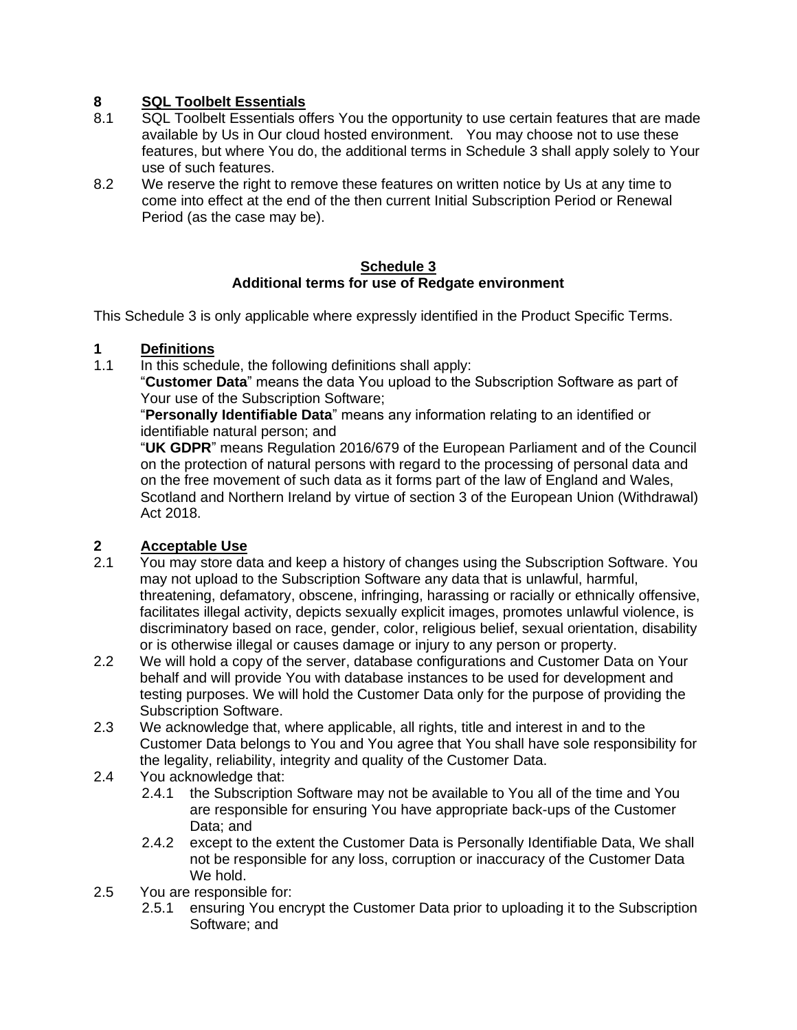## **8 SQL Toolbelt Essentials**

- 8.1 SQL Toolbelt Essentials offers You the opportunity to use certain features that are made available by Us in Our cloud hosted environment. You may choose not to use these features, but where You do, the additional terms in Schedule 3 shall apply solely to Your use of such features.
- 8.2 We reserve the right to remove these features on written notice by Us at any time to come into effect at the end of the then current Initial Subscription Period or Renewal Period (as the case may be).

#### **Schedule 3 Additional terms for use of Redgate environment**

This Schedule 3 is only applicable where expressly identified in the Product Specific Terms.

#### **1 Definitions**

1.1 In this schedule, the following definitions shall apply:

"**Customer Data**" means the data You upload to the Subscription Software as part of Your use of the Subscription Software;

"**Personally Identifiable Data**" means any information relating to an identified or identifiable natural person; and

"**UK GDPR**" means Regulation 2016/679 of the European Parliament and of the Council on the protection of natural persons with regard to the processing of personal data and on the free movement of such data as it forms part of the law of England and Wales, Scotland and Northern Ireland by virtue of section 3 of the European Union (Withdrawal) Act 2018.

## **2 Acceptable Use**

- 2.1 You may store data and keep a history of changes using the Subscription Software. You may not upload to the Subscription Software any data that is unlawful, harmful, threatening, defamatory, obscene, infringing, harassing or racially or ethnically offensive, facilitates illegal activity, depicts sexually explicit images, promotes unlawful violence, is discriminatory based on race, gender, color, religious belief, sexual orientation, disability or is otherwise illegal or causes damage or injury to any person or property.
- 2.2 We will hold a copy of the server, database configurations and Customer Data on Your behalf and will provide You with database instances to be used for development and testing purposes. We will hold the Customer Data only for the purpose of providing the Subscription Software.
- 2.3 We acknowledge that, where applicable, all rights, title and interest in and to the Customer Data belongs to You and You agree that You shall have sole responsibility for the legality, reliability, integrity and quality of the Customer Data.
- 2.4 You acknowledge that:
	- 2.4.1 the Subscription Software may not be available to You all of the time and You are responsible for ensuring You have appropriate back-ups of the Customer Data; and
	- 2.4.2 except to the extent the Customer Data is Personally Identifiable Data, We shall not be responsible for any loss, corruption or inaccuracy of the Customer Data We hold.
- 2.5 You are responsible for:
	- 2.5.1 ensuring You encrypt the Customer Data prior to uploading it to the Subscription Software; and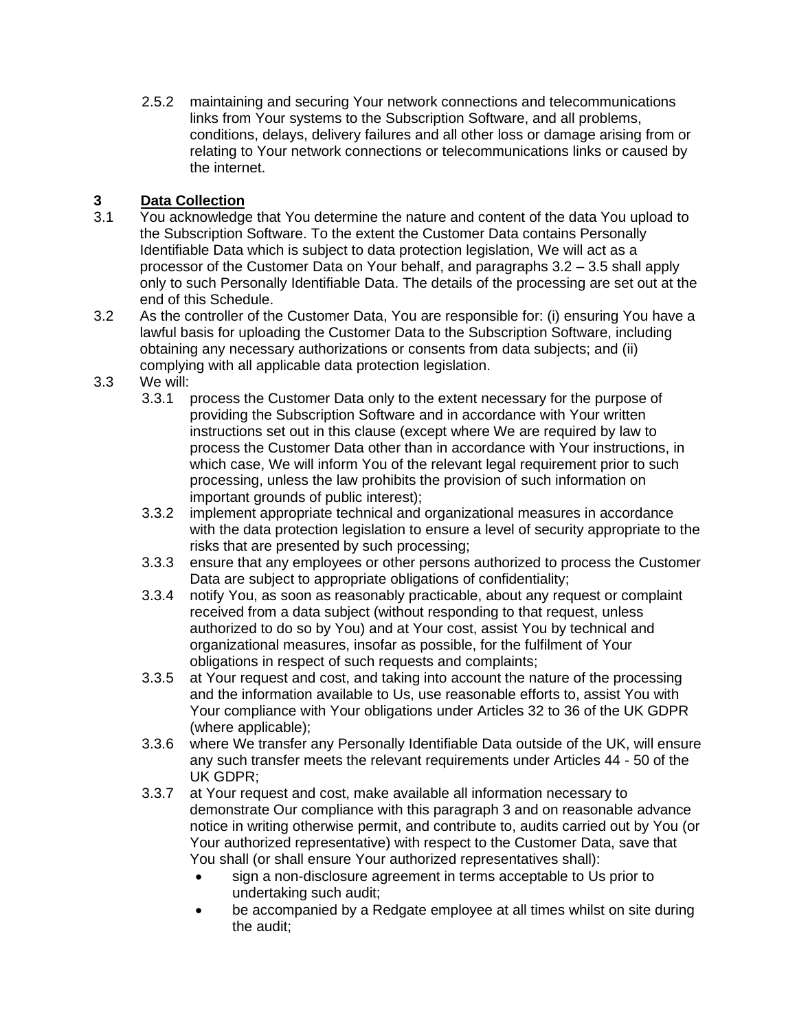2.5.2 maintaining and securing Your network connections and telecommunications links from Your systems to the Subscription Software, and all problems, conditions, delays, delivery failures and all other loss or damage arising from or relating to Your network connections or telecommunications links or caused by the internet.

## **3 Data Collection**

- 3.1 You acknowledge that You determine the nature and content of the data You upload to the Subscription Software. To the extent the Customer Data contains Personally Identifiable Data which is subject to data protection legislation, We will act as a processor of the Customer Data on Your behalf, and paragraphs 3.2 – 3.5 shall apply only to such Personally Identifiable Data. The details of the processing are set out at the end of this Schedule.
- 3.2 As the controller of the Customer Data, You are responsible for: (i) ensuring You have a lawful basis for uploading the Customer Data to the Subscription Software, including obtaining any necessary authorizations or consents from data subjects; and (ii) complying with all applicable data protection legislation.
- 3.3 We will:
	- 3.3.1 process the Customer Data only to the extent necessary for the purpose of providing the Subscription Software and in accordance with Your written instructions set out in this clause (except where We are required by law to process the Customer Data other than in accordance with Your instructions, in which case, We will inform You of the relevant legal requirement prior to such processing, unless the law prohibits the provision of such information on important grounds of public interest);
	- 3.3.2 implement appropriate technical and organizational measures in accordance with the data protection legislation to ensure a level of security appropriate to the risks that are presented by such processing;
	- 3.3.3 ensure that any employees or other persons authorized to process the Customer Data are subject to appropriate obligations of confidentiality;
	- 3.3.4 notify You, as soon as reasonably practicable, about any request or complaint received from a data subject (without responding to that request, unless authorized to do so by You) and at Your cost, assist You by technical and organizational measures, insofar as possible, for the fulfilment of Your obligations in respect of such requests and complaints;
	- 3.3.5 at Your request and cost, and taking into account the nature of the processing and the information available to Us, use reasonable efforts to, assist You with Your compliance with Your obligations under Articles 32 to 36 of the UK GDPR (where applicable);
	- 3.3.6 where We transfer any Personally Identifiable Data outside of the UK, will ensure any such transfer meets the relevant requirements under Articles 44 - 50 of the UK GDPR;
	- 3.3.7 at Your request and cost, make available all information necessary to demonstrate Our compliance with this paragraph 3 and on reasonable advance notice in writing otherwise permit, and contribute to, audits carried out by You (or Your authorized representative) with respect to the Customer Data, save that You shall (or shall ensure Your authorized representatives shall):
		- sign a non-disclosure agreement in terms acceptable to Us prior to undertaking such audit;
		- be accompanied by a Redgate employee at all times whilst on site during the audit;